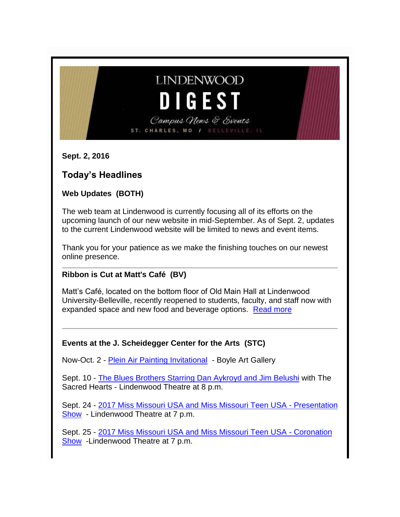# **LINDENWOOD** DIGEST

Campus News & Events ST. CHARLES, MO / BELLEVILLE,

**Sept. 2, 2016**

# **Today's Headlines**

# **Web Updates (BOTH)**

The web team at Lindenwood is currently focusing all of its efforts on the upcoming launch of our new website in mid-September. As of Sept. 2, updates to the current Lindenwood website will be limited to news and event items.

Thank you for your patience as we make the finishing touches on our newest online presence.

# **Ribbon is Cut at Matt's Café (BV)**

Matt's Café, located on the bottom floor of Old Main Hall at Lindenwood University-Belleville, recently reopened to students, faculty, and staff now with expanded space and new food and beverage options. [Read more](http://belleville.lindenwood.edu/news/2016/1435.html)

#### **Events at the J. Scheidegger Center for the Arts (STC)**

Now-Oct. 2 - [Plein Air Painting Invitational](http://luboxoffice.com/events/art/index.html) - Boyle Art Gallery

Sept. 10 - [The Blues Brothers Starring Dan Aykroyd and Jim Belushi](http://luboxoffice.com/events/mainStage/Blues-Brothers.html) with The Sacred Hearts - Lindenwood Theatre at 8 p.m.

Sept. 24 - [2017 Miss Missouri USA and Miss Missouri Teen USA -](http://luboxoffice.com/events/community/missMOpresentation.html) Presentation [Show](http://luboxoffice.com/events/community/missMOpresentation.html) - Lindenwood Theatre at 7 p.m.

Sept. 25 - [2017 Miss Missouri USA and Miss Missouri Teen USA -](http://luboxoffice.com/events/community/missMOcoronation.html) Coronation [Show](http://luboxoffice.com/events/community/missMOcoronation.html) -Lindenwood Theatre at 7 p.m.